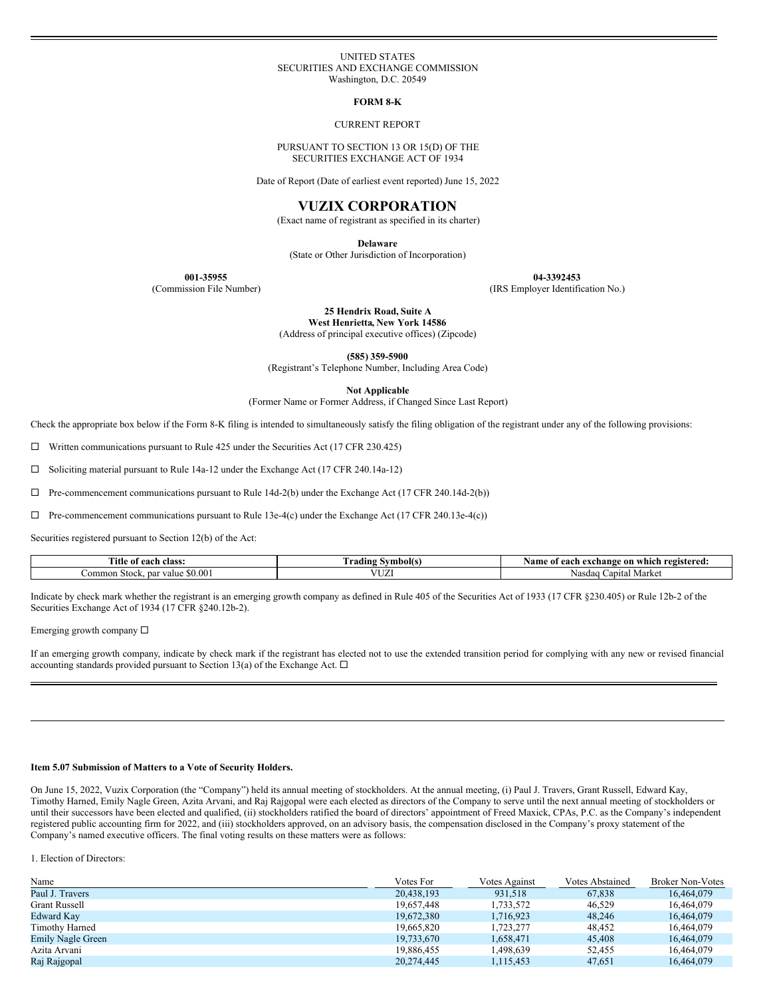### UNITED STATES SECURITIES AND EXCHANGE COMMISSION Washington, D.C. 20549

**FORM 8-K**

#### CURRENT REPORT

#### PURSUANT TO SECTION 13 OR 15(D) OF THE SECURITIES EXCHANGE ACT OF 1934

Date of Report (Date of earliest event reported) June 15, 2022

# **VUZIX CORPORATION**

(Exact name of registrant as specified in its charter)

**Delaware**

(State or Other Jurisdiction of Incorporation)

**001-35955 04-3392453**

(Commission File Number) (IRS Employer Identification No.)

**25 Hendrix Road, Suite A West Henrietta, New York 14586**

(Address of principal executive offices) (Zipcode)

**(585) 359-5900**

(Registrant's Telephone Number, Including Area Code)

**Not Applicable**

(Former Name or Former Address, if Changed Since Last Report)

Check the appropriate box below if the Form 8-K filing is intended to simultaneously satisfy the filing obligation of the registrant under any of the following provisions:

 $\Box$  Written communications pursuant to Rule 425 under the Securities Act (17 CFR 230.425)

□ Soliciting material pursuant to Rule 14a-12 under the Exchange Act (17 CFR 240.14a-12)

 $\Box$  Pre-commencement communications pursuant to Rule 14d-2(b) under the Exchange Act (17 CFR 240.14d-2(b))

 $\Box$  Pre-commencement communications pursuant to Rule 13e-4(c) under the Exchange Act (17 CFR 240.13e-4(c))

Securities registered pursuant to Section 12(b) of the Act:

| <b>CONTRACT</b><br>. itle<br>each<br>class.<br>$^{\rm o}$ | symbol(s<br>radıng | Namo<br>registered.<br>exchange<br>which<br>on<br>01<br>. |
|-----------------------------------------------------------|--------------------|-----------------------------------------------------------|
| \$0.00<br>∠ommon<br>. par<br>⁄alue<br>Stock.              | -----<br>◡▵        | Capital Market<br>Nasdag                                  |

Indicate by check mark whether the registrant is an emerging growth company as defined in Rule 405 of the Securities Act of 1933 (17 CFR §230.405) or Rule 12b-2 of the Securities Exchange Act of 1934 (17 CFR §240.12b-2).

Emerging growth company  $\Box$ 

If an emerging growth company, indicate by check mark if the registrant has elected not to use the extended transition period for complying with any new or revised financial accounting standards provided pursuant to Section 13(a) of the Exchange Act.  $\Box$ 

## **Item 5.07 Submission of Matters to a Vote of Security Holders.**

On June 15, 2022, Vuzix Corporation (the "Company") held its annual meeting of stockholders. At the annual meeting, (i) Paul J. Travers, Grant Russell, Edward Kay, Timothy Harned, Emily Nagle Green, Azita Arvani, and Raj Rajgopal were each elected as directors of the Company to serve until the next annual meeting of stockholders or until their successors have been elected and qualified, (ii) stockholders ratified the board of directors' appointment of Freed Maxick, CPAs, P.C. as the Company's independent registered public accounting firm for 2022, and (iii) stockholders approved, on an advisory basis, the compensation disclosed in the Company's proxy statement of the Company's named executive officers. The final voting results on these matters were as follows:

1. Election of Directors:

| Name                 | Votes For  | Votes Against | Votes Abstained | <b>Broker Non-Votes</b> |
|----------------------|------------|---------------|-----------------|-------------------------|
| Paul J. Travers      | 20.438.193 | 931.518       | 67.838          | 16.464.079              |
| <b>Grant Russell</b> | 19.657.448 | 1,733,572     | 46.529          | 16.464.079              |
| Edward Kay           | 19.672.380 | 1.716.923     | 48.246          | 16.464.079              |
| Timothy Harned       | 19,665,820 | 1.723.277     | 48.452          | 16.464.079              |
| Emily Nagle Green    | 19.733.670 | 1.658.471     | 45,408          | 16.464.079              |
| Azita Arvani         | 19.886.455 | 1.498.639     | 52.455          | 16.464.079              |
| Raj Rajgopal         | 20.274.445 | 1.115.453     | 47.651          | 16.464.079              |